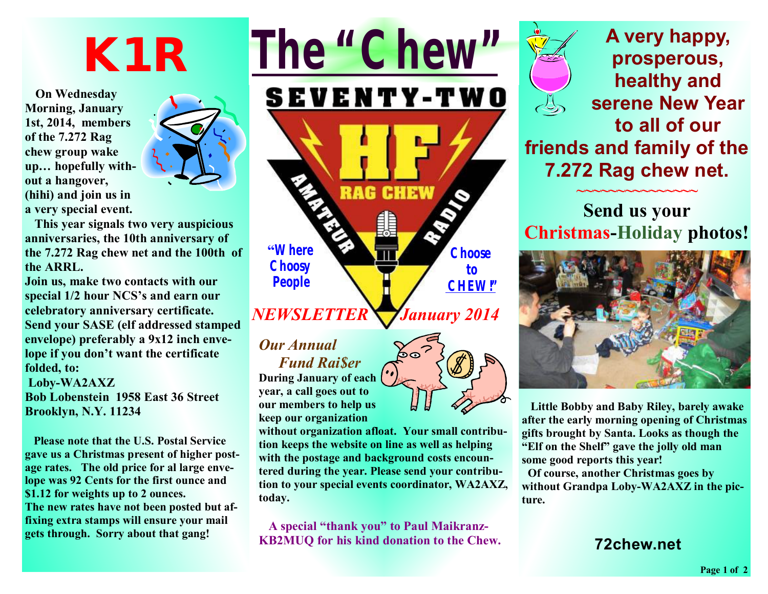# **K1R**

 **On Wednesday Morning, January 1st, 2014, members of the 7.272 Rag chew group wake up… hopefully without a hangover, (hihi) and join us in a very special event.** 



 **This year signals two very auspicious anniversaries, the 10th anniversary of the 7.272 Rag chew net and the 100th of the ARRL.** 

**Join us, make two contacts with our special 1/2 hour NCS's and earn our celebratory anniversary certificate. Send your SASE (elf addressed stamped envelope) preferably a 9x12 inch envelope if you don't want the certificate folded, to: Loby-WA2AXZ Bob Lobenstein 1958 East 36 Street Brooklyn, N.Y. 11234** 

**Please note that the U.S. Postal Service gave us a Christmas present of higher postage rates. The old price for al large envelope was 92 Cents for the first ounce and \$1.12 for weights up to 2 ounces. The new rates have not been posted but affixing extra stamps will ensure your mail gets through. Sorry about that gang!**



### *Our Annual Fund Rai\$er*

**During January of each year, a call goes out to our members to help us keep our organization** 

**without organization afloat. Your small contribution keeps the website on line as well as helping with the postage and background costs encountered during the year. Please send your contribution to your special events coordinator, WA2AXZ, today.** 

 **A special "thank you" to Paul Maikranz-KB2MUQ for his kind donation to the Chew.** 



### **Send us your Christmas-Holiday photos!**



**Little Bobby and Baby Riley, barely awake after the early morning opening of Christmas gifts brought by Santa. Looks as though the "Elf on the Shelf" gave the jolly old man some good reports this year!** 

 **Of course, another Christmas goes by without Grandpa Loby-WA2AXZ in the picture.** 

### **72chew.net**